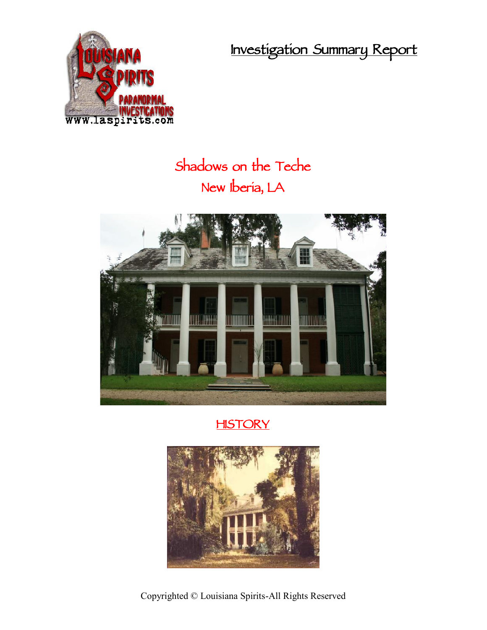**Investigation Summary Report**



## **Shadows on the Teche New Iberia, LA**



## **HISTORY**



Copyrighted © Louisiana Spirits-All Rights Reserved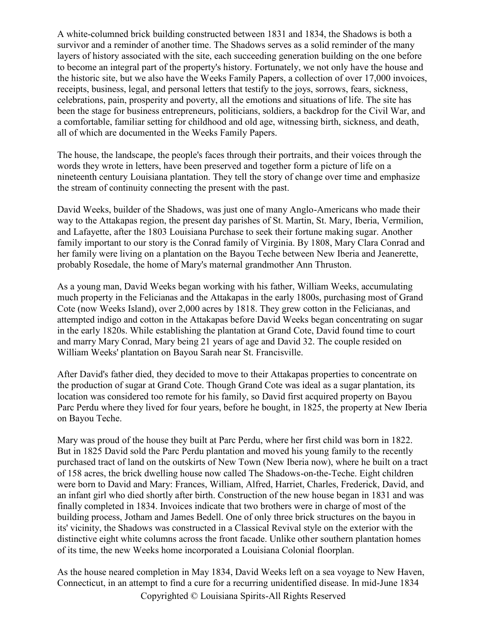A white-columned brick building constructed between 1831 and 1834, the Shadows is both a survivor and a reminder of another time. The Shadows serves as a solid reminder of the many layers of history associated with the site, each succeeding generation building on the one before to become an integral part of the property's history. Fortunately, we not only have the house and the historic site, but we also have the Weeks Family Papers, a collection of over 17,000 invoices, receipts, business, legal, and personal letters that testify to the joys, sorrows, fears, sickness, celebrations, pain, prosperity and poverty, all the emotions and situations of life. The site has been the stage for business entrepreneurs, politicians, soldiers, a backdrop for the Civil War, and a comfortable, familiar setting for childhood and old age, witnessing birth, sickness, and death, all of which are documented in the Weeks Family Papers.

The house, the landscape, the people's faces through their portraits, and their voices through the words they wrote in letters, have been preserved and together form a picture of life on a nineteenth century Louisiana plantation. They tell the story of change over time and emphasize the stream of continuity connecting the present with the past.

David Weeks, builder of the Shadows, was just one of many Anglo-Americans who made their way to the Attakapas region, the present day parishes of St. Martin, St. Mary, Iberia, Vermilion, and Lafayette, after the 1803 Louisiana Purchase to seek their fortune making sugar. Another family important to our story is the Conrad family of Virginia. By 1808, Mary Clara Conrad and her family were living on a plantation on the Bayou Teche between New Iberia and Jeanerette, probably Rosedale, the home of Mary's maternal grandmother Ann Thruston.

As a young man, David Weeks began working with his father, William Weeks, accumulating much property in the Felicianas and the Attakapas in the early 1800s, purchasing most of Grand Cote (now Weeks Island), over 2,000 acres by 1818. They grew cotton in the Felicianas, and attempted indigo and cotton in the Attakapas before David Weeks began concentrating on sugar in the early 1820s. While establishing the plantation at Grand Cote, David found time to court and marry Mary Conrad, Mary being 21 years of age and David 32. The couple resided on William Weeks' plantation on Bayou Sarah near St. Francisville.

After David's father died, they decided to move to their Attakapas properties to concentrate on the production of sugar at Grand Cote. Though Grand Cote was ideal as a sugar plantation, its location was considered too remote for his family, so David first acquired property on Bayou Parc Perdu where they lived for four years, before he bought, in 1825, the property at New Iberia on Bayou Teche.

Mary was proud of the house they built at Parc Perdu, where her first child was born in 1822. But in 1825 David sold the Parc Perdu plantation and moved his young family to the recently purchased tract of land on the outskirts of New Town (New Iberia now), where he built on a tract of 158 acres, the brick dwelling house now called The Shadows-on-the-Teche. Eight children were born to David and Mary: Frances, William, Alfred, Harriet, Charles, Frederick, David, and an infant girl who died shortly after birth. Construction of the new house began in 1831 and was finally completed in 1834. Invoices indicate that two brothers were in charge of most of the building process, Jotham and James Bedell. One of only three brick structures on the bayou in its' vicinity, the Shadows was constructed in a Classical Revival style on the exterior with the distinctive eight white columns across the front facade. Unlike other southern plantation homes of its time, the new Weeks home incorporated a Louisiana Colonial floorplan.

As the house neared completion in May 1834, David Weeks left on a sea voyage to New Haven, Connecticut, in an attempt to find a cure for a recurring unidentified disease. In mid-June 1834

Copyrighted © Louisiana Spirits-All Rights Reserved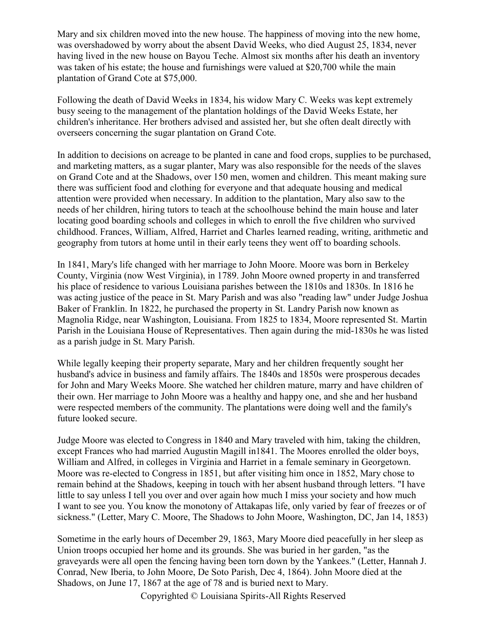Mary and six children moved into the new house. The happiness of moving into the new home, was overshadowed by worry about the absent David Weeks, who died August 25, 1834, never having lived in the new house on Bayou Teche. Almost six months after his death an inventory was taken of his estate; the house and furnishings were valued at \$20,700 while the main plantation of Grand Cote at \$75,000.

Following the death of David Weeks in 1834, his widow Mary C. Weeks was kept extremely busy seeing to the management of the plantation holdings of the David Weeks Estate, her children's inheritance. Her brothers advised and assisted her, but she often dealt directly with overseers concerning the sugar plantation on Grand Cote.

In addition to decisions on acreage to be planted in cane and food crops, supplies to be purchased, and marketing matters, as a sugar planter, Mary was also responsible for the needs of the slaves on Grand Cote and at the Shadows, over 150 men, women and children. This meant making sure there was sufficient food and clothing for everyone and that adequate housing and medical attention were provided when necessary. In addition to the plantation, Mary also saw to the needs of her children, hiring tutors to teach at the schoolhouse behind the main house and later locating good boarding schools and colleges in which to enroll the five children who survived childhood. Frances, William, Alfred, Harriet and Charles learned reading, writing, arithmetic and geography from tutors at home until in their early teens they went off to boarding schools.

In 1841, Mary's life changed with her marriage to John Moore. Moore was born in Berkeley County, Virginia (now West Virginia), in 1789. John Moore owned property in and transferred his place of residence to various Louisiana parishes between the 1810s and 1830s. In 1816 he was acting justice of the peace in St. Mary Parish and was also "reading law" under Judge Joshua Baker of Franklin. In 1822, he purchased the property in St. Landry Parish now known as Magnolia Ridge, near Washington, Louisiana. From 1825 to 1834, Moore represented St. Martin Parish in the Louisiana House of Representatives. Then again during the mid-1830s he was listed as a parish judge in St. Mary Parish.

While legally keeping their property separate, Mary and her children frequently sought her husband's advice in business and family affairs. The 1840s and 1850s were prosperous decades for John and Mary Weeks Moore. She watched her children mature, marry and have children of their own. Her marriage to John Moore was a healthy and happy one, and she and her husband were respected members of the community. The plantations were doing well and the family's future looked secure.

Judge Moore was elected to Congress in 1840 and Mary traveled with him, taking the children, except Frances who had married Augustin Magill in1841. The Moores enrolled the older boys, William and Alfred, in colleges in Virginia and Harriet in a female seminary in Georgetown. Moore was re-elected to Congress in 1851, but after visiting him once in 1852, Mary chose to remain behind at the Shadows, keeping in touch with her absent husband through letters. "I have little to say unless I tell you over and over again how much I miss your society and how much I want to see you. You know the monotony of Attakapas life, only varied by fear of freezes or of sickness." (Letter, Mary C. Moore, The Shadows to John Moore, Washington, DC, Jan 14, 1853)

Sometime in the early hours of December 29, 1863, Mary Moore died peacefully in her sleep as Union troops occupied her home and its grounds. She was buried in her garden, "as the graveyards were all open the fencing having been torn down by the Yankees." (Letter, Hannah J. Conrad, New Iberia, to John Moore, De Soto Parish, Dec 4, 1864). John Moore died at the Shadows, on June 17, 1867 at the age of 78 and is buried next to Mary.

Copyrighted © Louisiana Spirits-All Rights Reserved